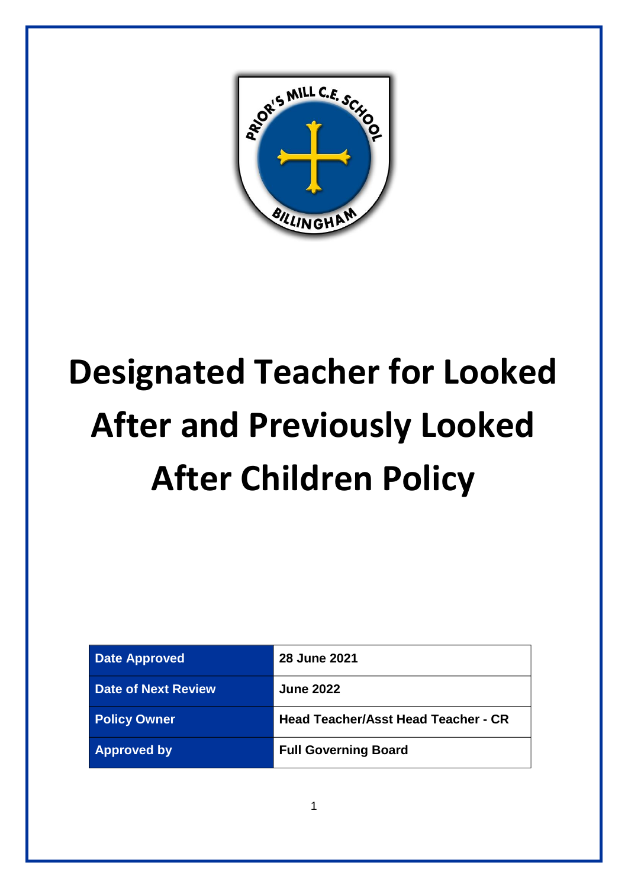

# **Designated Teacher for Looked After and Previously Looked After Children Policy**

| <b>Date Approved</b> | <b>28 June 2021</b>                        |
|----------------------|--------------------------------------------|
| Date of Next Review  | <b>June 2022</b>                           |
| <b>Policy Owner</b>  | <b>Head Teacher/Asst Head Teacher - CR</b> |
| <b>Approved by</b>   | <b>Full Governing Board</b>                |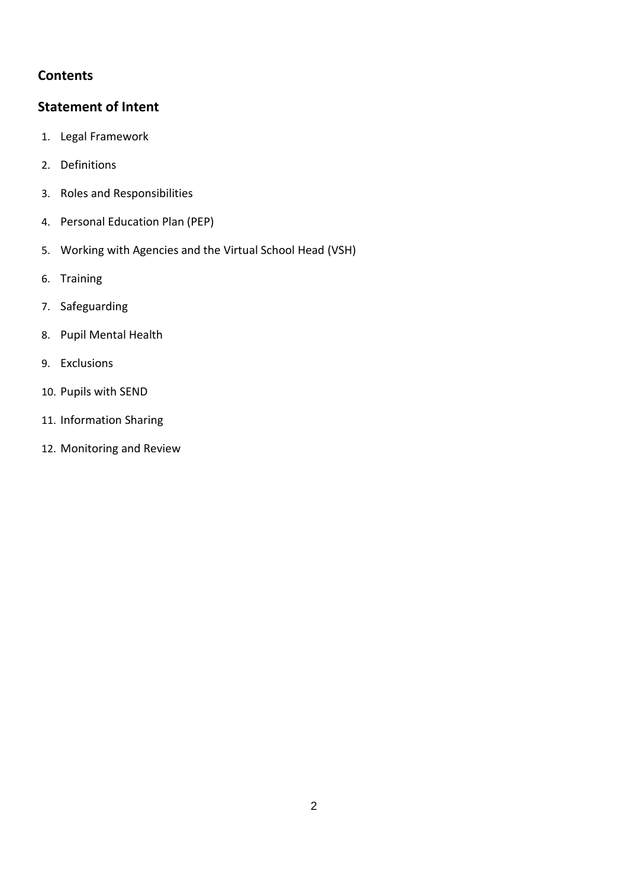## **Contents**

## **[Statement of Intent](#page-2-0)**

- 1. Legal Framework
- 2. Definitions
- 3. Roles and Responsibilities
- 4. Personal Education Plan (PEP)
- 5. Working with Agencies and the Virtual School Head (VSH)
- 6. Training
- 7. Safeguarding
- 8. Pupil Mental Health
- 9. Exclusions
- 10. Pupils with SEND
- 11. Information Sharing
- 12. Monitoring and Review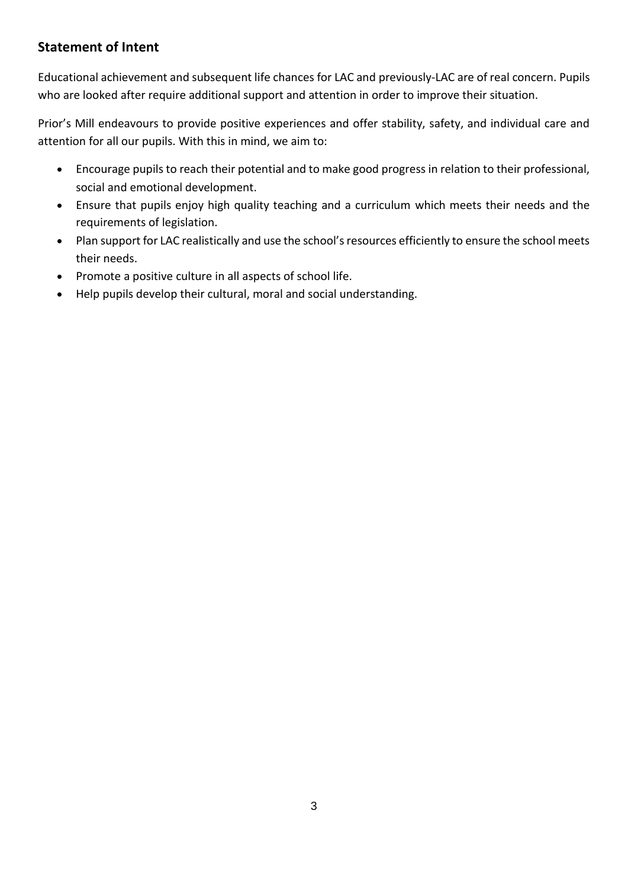# <span id="page-2-0"></span>**Statement of Intent**

Educational achievement and subsequent life chances for LAC and previously-LAC are of real concern. Pupils who are looked after require additional support and attention in order to improve their situation.

Prior's Mill endeavours to provide positive experiences and offer stability, safety, and individual care and attention for all our pupils. With this in mind, we aim to:

- Encourage pupils to reach their potential and to make good progress in relation to their professional, social and emotional development.
- Ensure that pupils enjoy high quality teaching and a curriculum which meets their needs and the requirements of legislation.
- Plan support for LAC realistically and use the school's resources efficiently to ensure the school meets their needs.
- Promote a positive culture in all aspects of school life.
- Help pupils develop their cultural, moral and social understanding.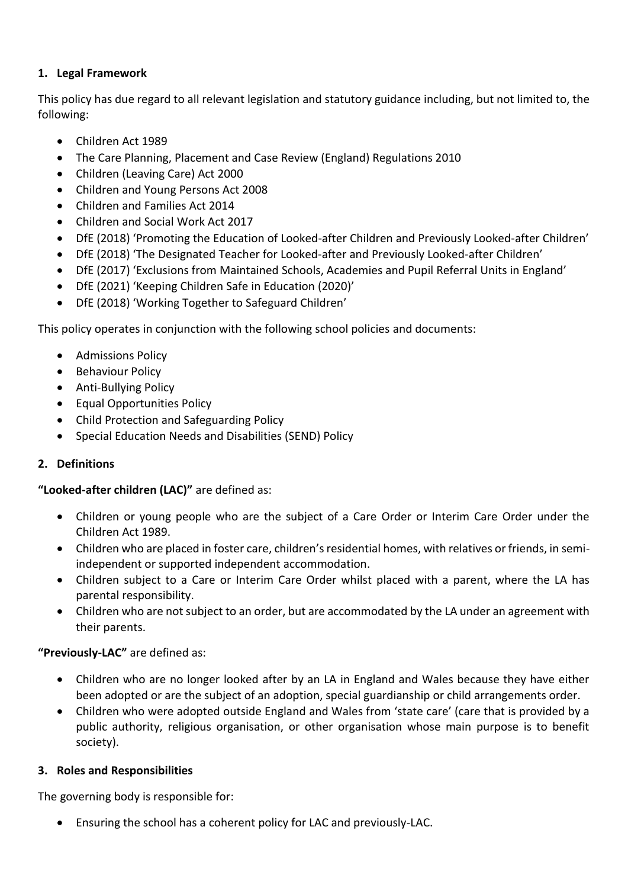## **1. Legal Framework**

This policy has due regard to all relevant legislation and statutory guidance including, but not limited to, the following:

- Children Act 1989
- The Care Planning, Placement and Case Review (England) Regulations 2010
- Children (Leaving Care) Act 2000
- Children and Young Persons Act 2008
- Children and Families Act 2014
- Children and Social Work Act 2017
- DfE (2018) 'Promoting the Education of Looked-after Children and Previously Looked-after Children'
- DfE (2018) 'The Designated Teacher for Looked-after and Previously Looked-after Children'
- DfE (2017) 'Exclusions from Maintained Schools, Academies and Pupil Referral Units in England'
- DfE (2021) 'Keeping Children Safe in Education (2020)'
- DfE (2018) 'Working Together to Safeguard Children'

This policy operates in conjunction with the following school policies and documents:

- Admissions Policy
- Behaviour Policy
- Anti-Bullying Policy
- Equal Opportunities Policy
- Child Protection and Safeguarding Policy
- Special Education Needs and Disabilities (SEND) Policy

#### **2. Definitions**

#### **"Looked-after children (LAC)"** are defined as:

- Children or young people who are the subject of a Care Order or Interim Care Order under the Children Act 1989.
- Children who are placed in foster care, children's residential homes, with relatives or friends, in semiindependent or supported independent accommodation.
- Children subject to a Care or Interim Care Order whilst placed with a parent, where the LA has parental responsibility.
- Children who are not subject to an order, but are accommodated by the LA under an agreement with their parents.

#### **"Previously-LAC"** are defined as:

- Children who are no longer looked after by an LA in England and Wales because they have either been adopted or are the subject of an adoption, special guardianship or child arrangements order.
- Children who were adopted outside England and Wales from 'state care' (care that is provided by a public authority, religious organisation, or other organisation whose main purpose is to benefit society).

#### **3. Roles and Responsibilities**

The governing body is responsible for:

• Ensuring the school has a coherent policy for LAC and previously-LAC.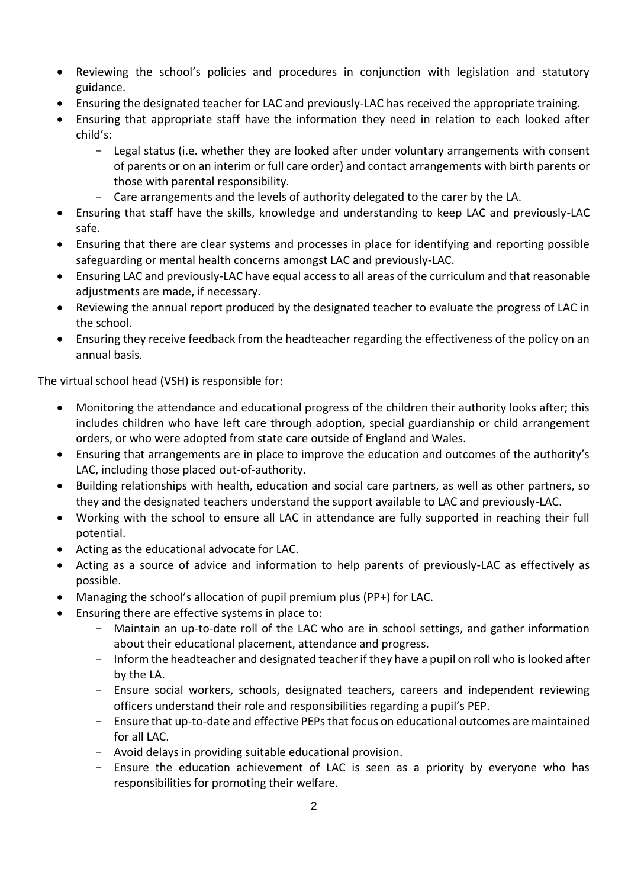- Reviewing the school's policies and procedures in conjunction with legislation and statutory guidance.
- Ensuring the designated teacher for LAC and previously-LAC has received the appropriate training.
- Ensuring that appropriate staff have the information they need in relation to each looked after child's:
	- Legal status (i.e. whether they are looked after under voluntary arrangements with consent of parents or on an interim or full care order) and contact arrangements with birth parents or those with parental responsibility.
	- Care arrangements and the levels of authority delegated to the carer by the LA.
- Ensuring that staff have the skills, knowledge and understanding to keep LAC and previously-LAC safe.
- Ensuring that there are clear systems and processes in place for identifying and reporting possible safeguarding or mental health concerns amongst LAC and previously-LAC.
- Ensuring LAC and previously-LAC have equal access to all areas of the curriculum and that reasonable adjustments are made, if necessary.
- Reviewing the annual report produced by the designated teacher to evaluate the progress of LAC in the school.
- Ensuring they receive feedback from the headteacher regarding the effectiveness of the policy on an annual basis.

The virtual school head (VSH) is responsible for:

- Monitoring the attendance and educational progress of the children their authority looks after; this includes children who have left care through adoption, special guardianship or child arrangement orders, or who were adopted from state care outside of England and Wales.
- Ensuring that arrangements are in place to improve the education and outcomes of the authority's LAC, including those placed out-of-authority.
- Building relationships with health, education and social care partners, as well as other partners, so they and the designated teachers understand the support available to LAC and previously-LAC.
- Working with the school to ensure all LAC in attendance are fully supported in reaching their full potential.
- Acting as the educational advocate for LAC.
- Acting as a source of advice and information to help parents of previously-LAC as effectively as possible.
- Managing the school's allocation of pupil premium plus (PP+) for LAC.
- Ensuring there are effective systems in place to:
	- Maintain an up-to-date roll of the LAC who are in school settings, and gather information about their educational placement, attendance and progress.
	- Inform the headteacher and designated teacher if they have a pupil on roll who is looked after by the LA.
	- Ensure social workers, schools, designated teachers, careers and independent reviewing officers understand their role and responsibilities regarding a pupil's PEP.
	- Ensure that up-to-date and effective PEPs that focus on educational outcomes are maintained for all LAC.
	- Avoid delays in providing suitable educational provision.
	- Ensure the education achievement of LAC is seen as a priority by everyone who has responsibilities for promoting their welfare.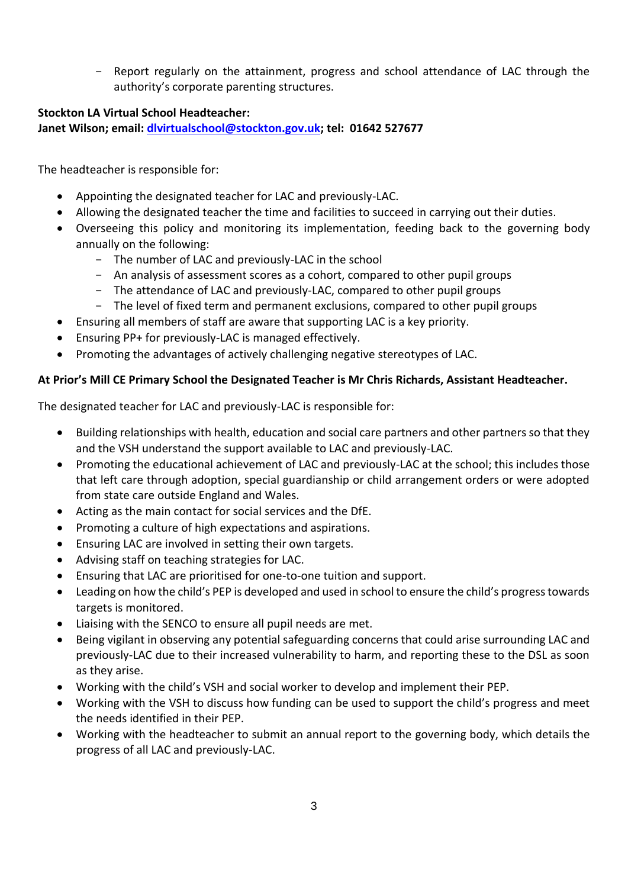- Report regularly on the attainment, progress and school attendance of LAC through the authority's corporate parenting structures.

## **Stockton LA Virtual School Headteacher: Janet Wilson; email: [dlvirtualschool@stockton.gov.uk;](mailto:dlvirtualschool@stockton.gov.uk) tel: 01642 527677**

The headteacher is responsible for:

- Appointing the designated teacher for LAC and previously-LAC.
- Allowing the designated teacher the time and facilities to succeed in carrying out their duties.
- Overseeing this policy and monitoring its implementation, feeding back to the governing body annually on the following:
	- The number of LAC and previously-LAC in the school
	- An analysis of assessment scores as a cohort, compared to other pupil groups
	- The attendance of LAC and previously-LAC, compared to other pupil groups
	- The level of fixed term and permanent exclusions, compared to other pupil groups
- Ensuring all members of staff are aware that supporting LAC is a key priority.
- Ensuring PP+ for previously-LAC is managed effectively.
- Promoting the advantages of actively challenging negative stereotypes of LAC.

## **At Prior's Mill CE Primary School the Designated Teacher is Mr Chris Richards, Assistant Headteacher.**

The designated teacher for LAC and previously-LAC is responsible for:

- Building relationships with health, education and social care partners and other partners so that they and the VSH understand the support available to LAC and previously-LAC.
- Promoting the educational achievement of LAC and previously-LAC at the school; this includes those that left care through adoption, special guardianship or child arrangement orders or were adopted from state care outside England and Wales.
- Acting as the main contact for social services and the DfE.
- Promoting a culture of high expectations and aspirations.
- Ensuring LAC are involved in setting their own targets.
- Advising staff on teaching strategies for LAC.
- Ensuring that LAC are prioritised for one-to-one tuition and support.
- Leading on how the child's PEP is developed and used in school to ensure the child's progress towards targets is monitored.
- Liaising with the SENCO to ensure all pupil needs are met.
- Being vigilant in observing any potential safeguarding concerns that could arise surrounding LAC and previously-LAC due to their increased vulnerability to harm, and reporting these to the DSL as soon as they arise.
- Working with the child's VSH and social worker to develop and implement their PEP.
- Working with the VSH to discuss how funding can be used to support the child's progress and meet the needs identified in their PEP.
- Working with the headteacher to submit an annual report to the governing body, which details the progress of all LAC and previously-LAC.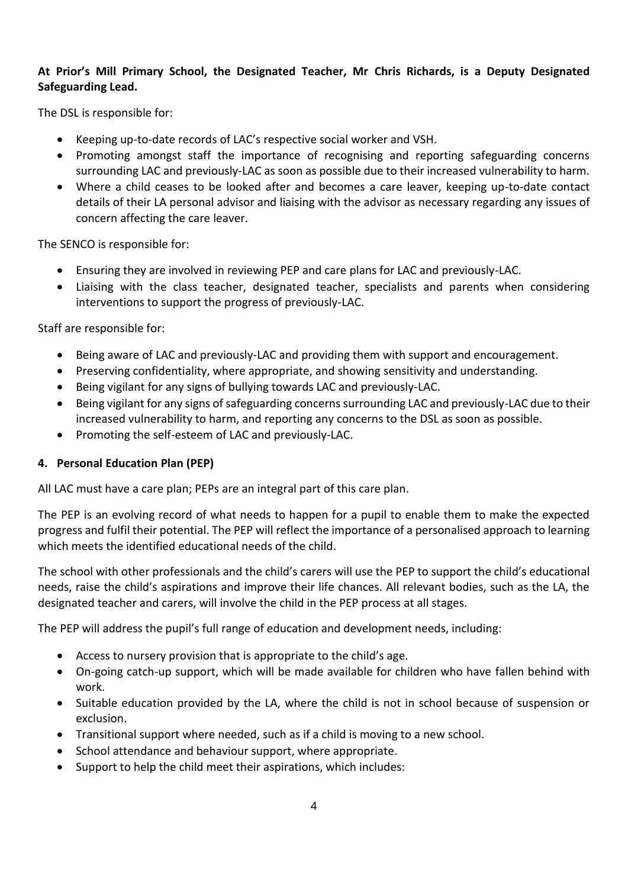### **At Prior's Mill Primary School, the Designated Teacher, Mr Chris Richards, is a Deputy Designated Safeguarding Lead.**

The DSL is responsible for:

- Keeping up-to-date records of LAC's respective social worker and VSH.
- Promoting amongst staff the importance of recognising and reporting safeguarding concerns surrounding LAC and previously-LAC as soon as possible due to their increased vulnerability to harm.
- Where a child ceases to be looked after and becomes a care leaver, keeping up-to-date contact details of their LA personal advisor and liaising with the advisor as necessary regarding any issues of concern affecting the care leaver.

The SENCO is responsible for:

- Ensuring they are involved in reviewing PEP and care plans for LAC and previously-LAC.
- Liaising with the class teacher, designated teacher, specialists and parents when considering interventions to support the progress of previously-LAC.

Staff are responsible for:

- Being aware of LAC and previously-LAC and providing them with support and encouragement.
- Preserving confidentiality, where appropriate, and showing sensitivity and understanding.
- Being vigilant for any signs of bullying towards LAC and previously-LAC.
- Being vigilant for any signs of safeguarding concerns surrounding LAC and previously-LAC due to their increased vulnerability to harm, and reporting any concerns to the DSL as soon as possible.
- Promoting the self-esteem of LAC and previously-LAC.

#### **4. Personal Education Plan (PEP)**

All LAC must have a care plan; PEPs are an integral part of this care plan.

The PEP is an evolving record of what needs to happen for a pupil to enable them to make the expected progress and fulfil their potential. The PEP will reflect the importance of a personalised approach to learning which meets the identified educational needs of the child.

The school with other professionals and the child's carers will use the PEP to support the child's educational needs, raise the child's aspirations and improve their life chances. All relevant bodies, such as the LA, the designated teacher and carers, will involve the child in the PEP process at all stages.

The PEP will address the pupil's full range of education and development needs, including:

- Access to nursery provision that is appropriate to the child's age.
- On-going catch-up support, which will be made available for children who have fallen behind with work.
- Suitable education provided by the LA, where the child is not in school because of suspension or exclusion.
- Transitional support where needed, such as if a child is moving to a new school.
- School attendance and behaviour support, where appropriate.
- Support to help the child meet their aspirations, which includes: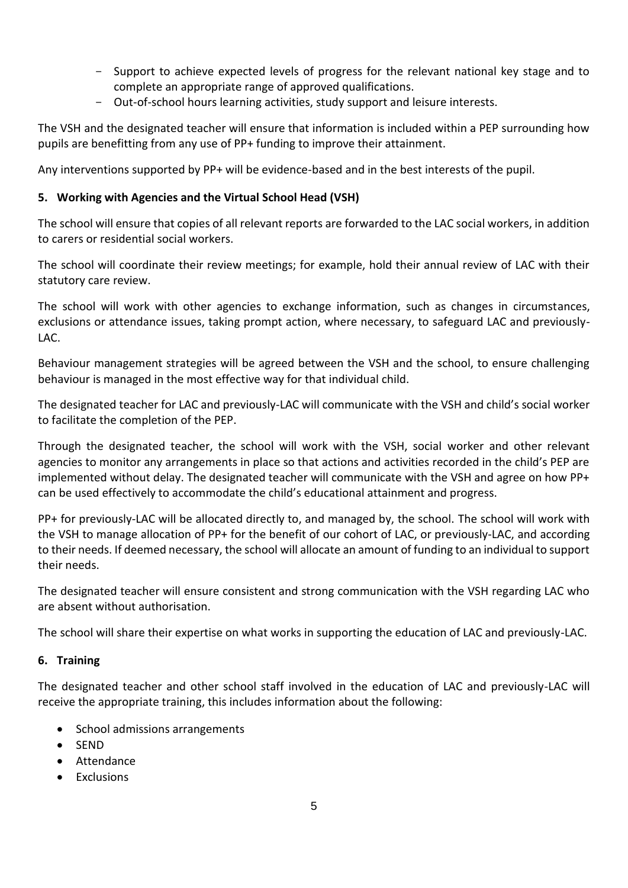- Support to achieve expected levels of progress for the relevant national key stage and to complete an appropriate range of approved qualifications.
- Out-of-school hours learning activities, study support and leisure interests.

The VSH and the designated teacher will ensure that information is included within a PEP surrounding how pupils are benefitting from any use of PP+ funding to improve their attainment.

Any interventions supported by PP+ will be evidence-based and in the best interests of the pupil.

### **5. Working with Agencies and the Virtual School Head (VSH)**

The school will ensure that copies of all relevant reports are forwarded to the LAC social workers, in addition to carers or residential social workers.

The school will coordinate their review meetings; for example, hold their annual review of LAC with their statutory care review.

The school will work with other agencies to exchange information, such as changes in circumstances, exclusions or attendance issues, taking prompt action, where necessary, to safeguard LAC and previously-LAC.

Behaviour management strategies will be agreed between the VSH and the school, to ensure challenging behaviour is managed in the most effective way for that individual child.

The designated teacher for LAC and previously-LAC will communicate with the VSH and child's social worker to facilitate the completion of the PEP.

Through the designated teacher, the school will work with the VSH, social worker and other relevant agencies to monitor any arrangements in place so that actions and activities recorded in the child's PEP are implemented without delay. The designated teacher will communicate with the VSH and agree on how PP+ can be used effectively to accommodate the child's educational attainment and progress.

PP+ for previously-LAC will be allocated directly to, and managed by, the school. The school will work with the VSH to manage allocation of PP+ for the benefit of our cohort of LAC, or previously-LAC, and according to their needs. If deemed necessary, the school will allocate an amount of funding to an individual to support their needs.

The designated teacher will ensure consistent and strong communication with the VSH regarding LAC who are absent without authorisation.

The school will share their expertise on what works in supporting the education of LAC and previously-LAC.

#### **6. Training**

The designated teacher and other school staff involved in the education of LAC and previously-LAC will receive the appropriate training, this includes information about the following:

- School admissions arrangements
- SEND
- Attendance
- Exclusions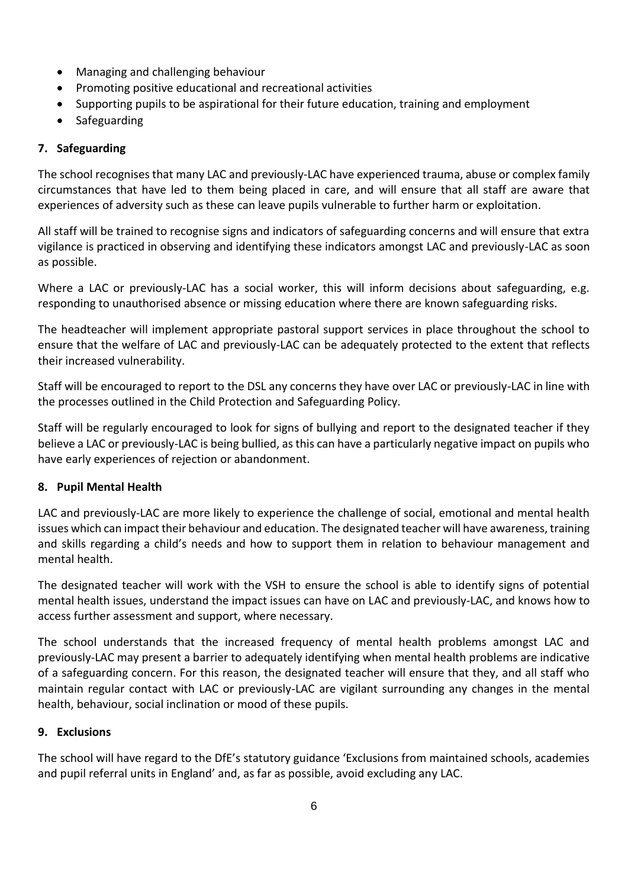- Managing and challenging behaviour
- Promoting positive educational and recreational activities
- Supporting pupils to be aspirational for their future education, training and employment
- Safeguarding

#### **7. Safeguarding**

The school recognises that many LAC and previously-LAC have experienced trauma, abuse or complex family circumstances that have led to them being placed in care, and will ensure that all staff are aware that experiences of adversity such as these can leave pupils vulnerable to further harm or exploitation.

All staff will be trained to recognise signs and indicators of safeguarding concerns and will ensure that extra vigilance is practiced in observing and identifying these indicators amongst LAC and previously-LAC as soon as possible.

Where a LAC or previously-LAC has a social worker, this will inform decisions about safeguarding, e.g. responding to unauthorised absence or missing education where there are known safeguarding risks.

The headteacher will implement appropriate pastoral support services in place throughout the school to ensure that the welfare of LAC and previously-LAC can be adequately protected to the extent that reflects their increased vulnerability.

Staff will be encouraged to report to the DSL any concerns they have over LAC or previously-LAC in line with the processes outlined in the Child Protection and Safeguarding Policy.

Staff will be regularly encouraged to look for signs of bullying and report to the designated teacher if they believe a LAC or previously-LAC is being bullied, as this can have a particularly negative impact on pupils who have early experiences of rejection or abandonment.

#### **8. Pupil Mental Health**

LAC and previously-LAC are more likely to experience the challenge of social, emotional and mental health issues which can impact their behaviour and education. The designated teacher will have awareness, training and skills regarding a child's needs and how to support them in relation to behaviour management and mental health.

The designated teacher will work with the VSH to ensure the school is able to identify signs of potential mental health issues, understand the impact issues can have on LAC and previously-LAC, and knows how to access further assessment and support, where necessary.

The school understands that the increased frequency of mental health problems amongst LAC and previously-LAC may present a barrier to adequately identifying when mental health problems are indicative of a safeguarding concern. For this reason, the designated teacher will ensure that they, and all staff who maintain regular contact with LAC or previously-LAC are vigilant surrounding any changes in the mental health, behaviour, social inclination or mood of these pupils.

#### **9. Exclusions**

The school will have regard to the DfE's statutory guidance 'Exclusions from maintained schools, academies and pupil referral units in England' and, as far as possible, avoid excluding any LAC.